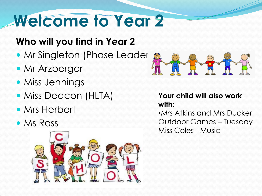## **Welcome to Year 2**

#### **Who will you find in Year 2**

- Mr Singleton (Phase Leader
- **Mr Arzberger**
- Miss Jennings
- Miss Deacon (HLTA)
- Mrs Herbert
- Ms Ross





#### **Your child will also work with:**

•Mrs Atkins and Mrs Ducker Outdoor Games – Tuesday Miss Coles - Music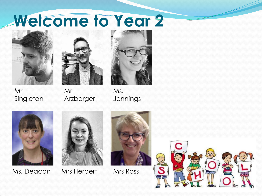### **Welcome to Year 2**



Mr





Singleton Mr Arzberger

Ms. Jennings





Ms. Deacon Mrs Herbert Mrs Ross



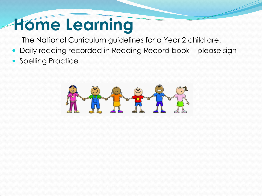### **Home Learning**

The National Curriculum guidelines for a Year 2 child are:

- Daily reading recorded in Reading Record book please sign
- Spelling Practice

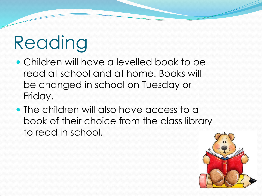# Reading

- Children will have a levelled book to be read at school and at home. Books will be changed in school on Tuesday or Friday.
- The children will also have access to a book of their choice from the class library to read in school.

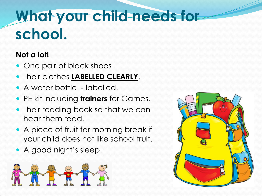### **What your child needs for school.**

#### **Not a lot!**

- One pair of black shoes
- Their clothes **LABELLED CLEARLY**.
- A water bottle labelled.
- PE kit including **trainers** for Games.
- Their reading book so that we can hear them read.
- A piece of fruit for morning break if your child does not like school fruit.
- A good night's sleep!



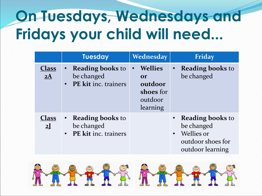#### **On Tuesdays, Wednesdays and Fridays your child will need...**

|                      | <b>Tuesday</b>                                                  | Wednesday                                                                  | Friday                                                                                                      |
|----------------------|-----------------------------------------------------------------|----------------------------------------------------------------------------|-------------------------------------------------------------------------------------------------------------|
| Class<br>$2\text{Å}$ | <b>Reading books to</b><br>be changed<br>• PE kit inc. trainers | <b>Wellies</b><br><b>Or</b><br>outdoor<br>shoes for<br>outdoor<br>learning | <b>Reading books to</b><br>be changed                                                                       |
| <b>Class</b><br>2    | • Reading books to<br>be changed<br>• PE kit inc. trainers      |                                                                            | • Reading books to<br>be changed<br><b>Wellies or</b><br>$\bullet$<br>outdoor shoes for<br>outdoor learning |

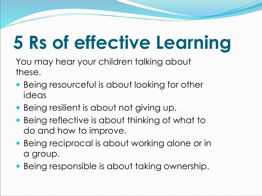## **5 Rs of effective Learning**

You may hear your children talking about these.

- Being resourceful is about looking for other ideas
- Being resilient is about not giving up.
- Being reflective is about thinking of what to do and how to improve.
- Being reciprocal is about working alone or in a group.
- Being responsible is about taking ownership.